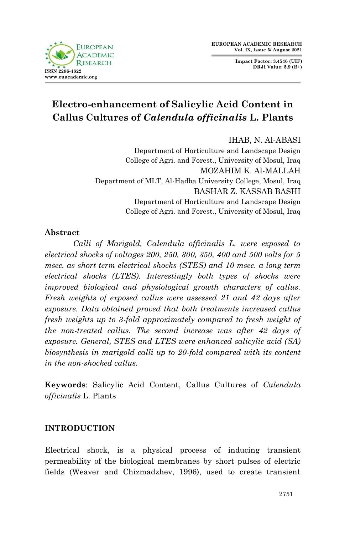**Impact Factor: 3.4546 (UIF) DRJI Value: 5.9 (B+)**



# **Electro-enhancement of Salicylic Acid Content in Callus Cultures of** *Calendula officinalis* **L. Plants**

IHAB, N. Al-ABASI

Department of Horticulture and Landscape Design College of Agri. and Forest., University of Mosul, Iraq MOZAHIM K. Al-MALLAH Department of MLT, Al-Hadba University College, Mosul, Iraq BASHAR Z. KASSAB BASHI Department of Horticulture and Landscape Design College of Agri. and Forest., University of Mosul, Iraq

## **Abstract**

*Calli of Marigold, Calendula officinalis L. were exposed to electrical shocks of voltages 200, 250, 300, 350, 400 and 500 volts for 5 msec. as short term electrical shocks (STES) and 10 msec. a long term electrical shocks (LTES). Interestingly both types of shocks were improved biological and physiological growth characters of callus. Fresh weights of exposed callus were assessed 21 and 42 days after exposure. Data obtained proved that both treatments increased callus fresh weights up to 3-fold approximately compared to fresh weight of the non-treated callus. The second increase was after 42 days of exposure. General, STES and LTES were enhanced salicylic acid (SA) biosynthesis in marigold calli up to 20-fold compared with its content in the non-shocked callus.* 

**Keywords**: Salicylic Acid Content, Callus Cultures of *Calendula officinalis* L. Plants

## **INTRODUCTION**

Electrical shock, is a physical process of inducing transient permeability of the biological membranes by short pulses of electric fields (Weaver and Chizmadzhev, 1996), used to create transient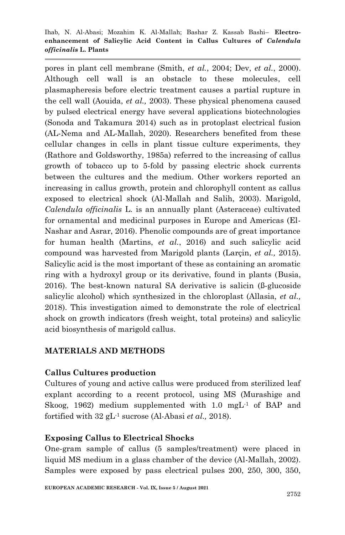pores in plant cell membrane (Smith, *et al.*, 2004; Dev, *et al.*, 2000). Although cell wall is an obstacle to these molecules, cell plasmapheresis before electric treatment causes a partial rupture in the cell wall (Aouida, *et al.,* 2003). These physical phenomena caused by pulsed electrical energy have several applications biotechnologies (Sonoda and Takamura 2014) such as in protoplast electrical fusion (AL-Nema and AL-Mallah, 2020). Researchers benefited from these cellular changes in cells in plant tissue culture experiments, they (Rathore and Goldsworthy, 1985a) referred to the increasing of callus growth of tobacco up to 5-fold by passing electric shock currents between the cultures and the medium. Other workers reported an increasing in callus growth, protein and chlorophyll content as callus exposed to electrical shock (Al-Mallah and Salih, 2003). Marigold, *Calendula officinalis* L. is an annually plant (Asteraceae) cultivated for ornamental and medicinal purposes in Europe and Americas (El-Nashar and Asrar, 2016). Phenolic compounds are of great importance for human health (Martins, *et al.*, 2016) and such salicylic acid compound was harvested from Marigold plants (Larçin, *et al.,* 2015). Salicylic acid is the most important of these as containing an aromatic ring with a hydroxyl group or its derivative, found in plants (Busia, 2016). The best-known natural SA derivative is salicin (ß-glucoside salicylic alcohol) which synthesized in the chloroplast (Allasia, *et al.,* 2018). This investigation aimed to demonstrate the role of electrical shock on growth indicators (fresh weight, total proteins) and salicylic acid biosynthesis of marigold callus.

## **MATERIALS AND METHODS**

## **Callus Cultures production**

Cultures of young and active callus were produced from sterilized leaf explant according to a recent protocol, using MS (Murashige and Skoog, 1962) medium supplemented with 1.0 mgL<sup>-1</sup> of BAP and fortified with 32 gL-1 sucrose (Al-Abasi *et al.,* 2018).

## **Exposing Callus to Electrical Shocks**

One-gram sample of callus (5 samples/treatment) were placed in liquid MS medium in a glass chamber of the device (Al-Mallah, 2002). Samples were exposed by pass electrical pulses 200, 250, 300, 350,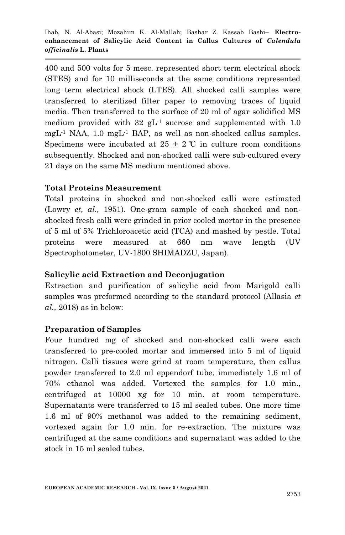400 and 500 volts for 5 mesc. represented short term electrical shock (STES) and for 10 milliseconds at the same conditions represented long term electrical shock (LTES). All shocked calli samples were transferred to sterilized filter paper to removing traces of liquid media. Then transferred to the surface of 20 ml of agar solidified MS medium provided with  $32 \text{ gL}^{-1}$  sucrose and supplemented with 1.0 mgL-1 NAA, 1.0 mgL-1 BAP, as well as non-shocked callus samples. Specimens were incubated at  $25 \pm 2$  °C in culture room conditions subsequently. Shocked and non-shocked calli were sub-cultured every 21 days on the same MS medium mentioned above.

### **Total Proteins Measurement**

Total proteins in shocked and non-shocked calli were estimated (Lowry *et, al.,* 1951). One-gram sample of each shocked and nonshocked fresh calli were grinded in prior cooled mortar in the presence of 5 ml of 5% Trichloroacetic acid (TCA) and mashed by pestle. Total proteins were measured at 660 nm wave length (UV Spectrophotometer, UV-1800 SHIMADZU, Japan).

#### **Salicylic acid Extraction and Deconjugation**

Extraction and purification of salicylic acid from Marigold calli samples was preformed according to the standard protocol (Allasia *et al.,* 2018) as in below:

## **Preparation of Samples**

Four hundred mg of shocked and non-shocked calli were each transferred to pre-cooled mortar and immersed into 5 ml of liquid nitrogen. Calli tissues were grind at room temperature, then callus powder transferred to 2.0 ml eppendorf tube, immediately 1.6 ml of 70% ethanol was added. Vortexed the samples for 1.0 min., centrifuged at 10000 x*g* for 10 min. at room temperature. Supernatants were transferred to 15 ml sealed tubes. One more time 1.6 ml of 90% methanol was added to the remaining sediment, vortexed again for 1.0 min. for re-extraction. The mixture was centrifuged at the same conditions and supernatant was added to the stock in 15 ml sealed tubes.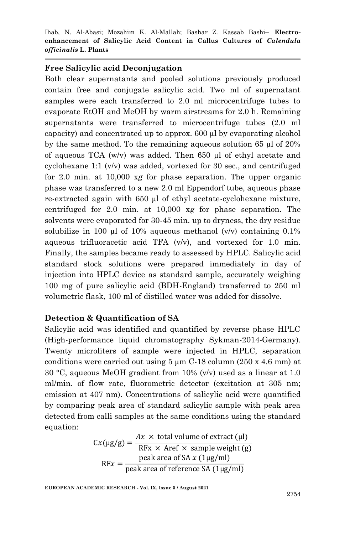#### **Free Salicylic acid Deconjugation**

Both clear supernatants and pooled solutions previously produced contain free and conjugate salicylic acid. Two ml of supernatant samples were each transferred to 2.0 ml microcentrifuge tubes to evaporate EtOH and MeOH by warm airstreams for 2.0 h. Remaining supernatants were transferred to microcentrifuge tubes  $(2.0 \text{ ml})$ capacity) and concentrated up to approx. 600 µl by evaporating alcohol by the same method. To the remaining aqueous solution 65 µl of 20% of aqueous TCA (w/v) was added. Then 650 µl of ethyl acetate and cyclohexane 1:1 (v/v) was added, vortexed for 30 sec., and centrifuged for 2.0 min. at 10,000 x*g* for phase separation. The upper organic phase was transferred to a new 2.0 ml Eppendorf tube, aqueous phase re-extracted again with 650 µl of ethyl acetate-cyclohexane mixture, centrifuged for 2.0 min. at 10,000 x*g* for phase separation. The solvents were evaporated for 30-45 min. up to dryness, the dry residue solubilize in 100 µl of 10% aqueous methanol  $(v/v)$  containing 0.1% aqueous trifluoracetic acid TFA (v/v), and vortexed for 1.0 min. Finally, the samples became ready to assessed by HPLC. Salicylic acid standard stock solutions were prepared immediately in day of injection into HPLC device as standard sample, accurately weighing 100 mg of pure salicylic acid (BDH-England) transferred to 250 ml volumetric flask, 100 ml of distilled water was added for dissolve.

#### **Detection & Quantification of SA**

Salicylic acid was identified and quantified by reverse phase HPLC (High-performance liquid chromatography Sykman-2014-Germany). Twenty microliters of sample were injected in HPLC, separation conditions were carried out using  $5 \mu m$  C-18 column (250 x 4.6 mm) at 30 °C, aqueous MeOH gradient from 10%  $(v/v)$  used as a linear at 1.0 ml/min. of flow rate, fluorometric detector (excitation at 305 nm; emission at 407 nm). Concentrations of salicylic acid were quantified by comparing peak area of standard salicylic sample with peak area detected from calli samples at the same conditions using the standard equation:

$$
Cx(\mu g/g) = \frac{Ax \times \text{ total volume of extract } (\mu l)}{\text{RFx} \times \text{Aref} \times \text{ sample weight } (g)}
$$
  
RFx = 
$$
\frac{\text{peak area of SA } x (1\mu g/ml)}{\text{peak area of reference SA } (1\mu g/ml)}
$$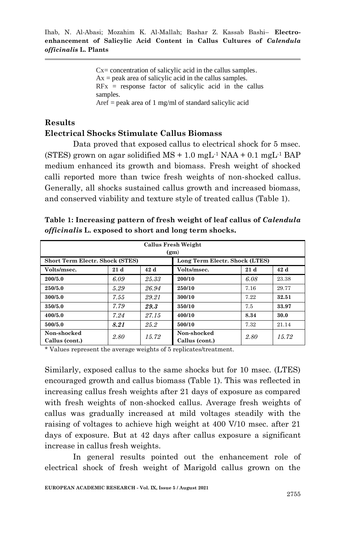Cx= concentration of salicylic acid in the callus samples.  $Ax = peak$  area of salicylic acid in the callus samples.  $RFX =$  response factor of salicylic acid in the callus samples. Aref  $=$  peak area of 1 mg/ml of standard salicylic acid

## **Results Electrical Shocks Stimulate Callus Biomass**

Data proved that exposed callus to electrical shock for 5 msec. (STES) grown on agar solidified  $MS + 1.0$  mgL<sup>-1</sup> NAA + 0.1 mgL<sup>-1</sup> BAP medium enhanced its growth and biomass. Fresh weight of shocked calli reported more than twice fresh weights of non-shocked callus. Generally, all shocks sustained callus growth and increased biomass, and conserved viability and texture style of treated callus (Table 1).

| <b>Callus Fresh Weight</b>             |      |       |                                |      |       |  |  |  |  |
|----------------------------------------|------|-------|--------------------------------|------|-------|--|--|--|--|
| (g <sub>m</sub> )                      |      |       |                                |      |       |  |  |  |  |
| <b>Short Term Electr. Shock (STES)</b> |      |       | Long Term Electr. Shock (LTES) |      |       |  |  |  |  |
| Volts/msec.                            | 21d  | 42 d  | Volts/msec.                    | 21d  | 42d   |  |  |  |  |
| 200/5.0                                | 6.09 | 25.33 | 200/10                         | 6.08 | 23.38 |  |  |  |  |
| 250/5.0                                | 5.29 | 26.94 | 250/10                         | 7.16 | 29.77 |  |  |  |  |
| 300/5.0                                | 7.55 | 29.21 | 300/10                         | 7.22 | 32.51 |  |  |  |  |
| 350/5.0                                | 7.79 | 29.3  | 350/10                         | 7.5  | 33.97 |  |  |  |  |
| 400/5.0                                | 7.24 | 27.15 | 400/10                         | 8.34 | 30.0  |  |  |  |  |
| 500/5.0                                | 8.21 | 25.2  | 500/10                         | 7.32 | 21.14 |  |  |  |  |
| Non-shocked<br>Callus (cont.)          | 2.80 | 15.72 | Non-shocked<br>Callus (cont.)  | 2.80 | 15.72 |  |  |  |  |

**Table 1: Increasing pattern of fresh weight of leaf callus of** *Calendula officinalis* **L. exposed to short and long term shocks.**

\* Values represent the average weights of 5 replicates/treatment.

Similarly, exposed callus to the same shocks but for 10 msec. (LTES) encouraged growth and callus biomass (Table 1). This was reflected in increasing callus fresh weights after 21 days of exposure as compared with fresh weights of non-shocked callus. Average fresh weights of callus was gradually increased at mild voltages steadily with the raising of voltages to achieve high weight at 400 V/10 msec. after 21 days of exposure. But at 42 days after callus exposure a significant increase in callus fresh weights.

In general results pointed out the enhancement role of electrical shock of fresh weight of Marigold callus grown on the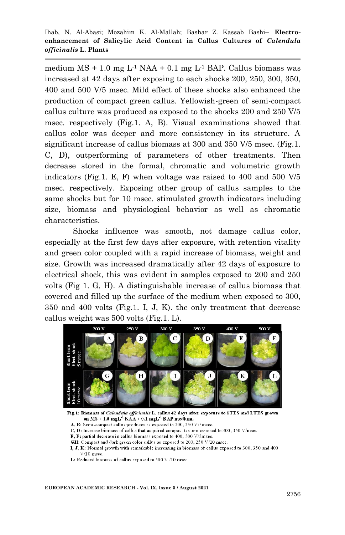medium  $MS + 1.0$  mg  $L<sup>1</sup> NAA + 0.1$  mg  $L<sup>1</sup> BAP$ . Callus biomass was increased at 42 days after exposing to each shocks 200, 250, 300, 350, 400 and 500 V/5 msec. Mild effect of these shocks also enhanced the production of compact green callus. Yellowish-green of semi-compact callus culture was produced as exposed to the shocks 200 and 250 V/5 msec. respectively (Fig.1. A, B). Visual examinations showed that callus color was deeper and more consistency in its structure. A significant increase of callus biomass at 300 and 350 V/5 msec. (Fig.1. C, D), outperforming of parameters of other treatments. Then decrease stored in the formal, chromatic and volumetric growth indicators (Fig.1. E, F) when voltage was raised to 400 and 500 V/5 msec. respectively. Exposing other group of callus samples to the same shocks but for 10 msec. stimulated growth indicators including size, biomass and physiological behavior as well as chromatic characteristics.

Shocks influence was smooth, not damage callus color, especially at the first few days after exposure, with retention vitality and green color coupled with a rapid increase of biomass, weight and size. Growth was increased dramatically after 42 days of exposure to electrical shock, this was evident in samples exposed to 200 and 250 volts (Fig 1. G, H). A distinguishable increase of callus biomass that covered and filled up the surface of the medium when exposed to 300, 350 and 400 volts (Fig.1. I, J, K). the only treatment that decrease callus weight was 500 volts (Fig.1. L).



Fig.1: Biomass of Calendula officinalis L. callus 42 days after exposure to STES and LTES grown on  $MS + 1.0$  mgL<sup>-1</sup> NAA + 0.1 mgL<sup>-1</sup> BAP medium.

A, B: Semi-compact callus produces as exposed to 200, 250 V/5msec.

C, D: Increase biomass of callus that acquired compact texture exposed to 300, 350 V/msec.

E, F: partial decrease in callus biomass exposed to 400, 500 V/5msec.

GH: Compact and dark green color callus as exposed to 200, 250 V/10 msec.

I, J, K: Normal growth with remarkable increasing in biomass of callus exposed to 300, 350 and 400  $V/10$  msee.

L: Reduced biomass of callus exposed to 500 V /10 msec.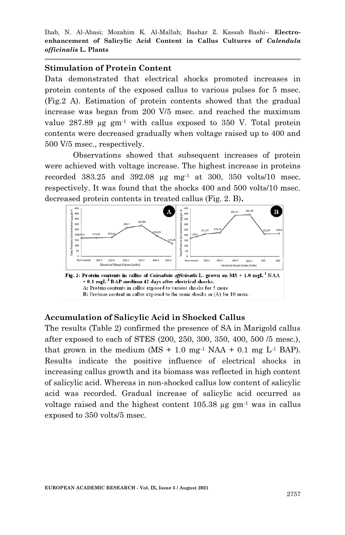#### **Stimulation of Protein Content**

Data demonstrated that electrical shocks promoted increases in protein contents of the exposed callus to various pulses for 5 msec. (Fig.2 A). Estimation of protein contents showed that the gradual increase was began from 200 V/5 msec. and reached the maximum value  $287.89 \text{ µg} \text{ gm}^{-1}$  with callus exposed to  $350 \text{ V}$ . Total protein contents were decreased gradually when voltage raised up to 400 and 500 V/5 msec., respectively.

Observations showed that subsequent increases of protein were achieved with voltage increase. The highest increase in proteins recorded 383.25 and 392.08  $\mu$ g mg<sup>-1</sup> at 300, 350 volts/10 msec. respectively. It was found that the shocks 400 and 500 volts/10 msec. decreased protein contents in treated callus (Fig. 2. B)**.**



## **Accumulation of Salicylic Acid in Shocked Callus**

The results (Table 2) confirmed the presence of SA in Marigold callus after exposed to each of STES (200, 250, 300, 350, 400, 500 /5 mesc.), that grown in the medium  $(MS + 1.0$  mg<sup>-1</sup> NAA + 0.1 mg L<sup>-1</sup> BAP). Results indicate the positive influence of electrical shocks in increasing callus growth and its biomass was reflected in high content of salicylic acid. Whereas in non-shocked callus low content of salicylic acid was recorded. Gradual increase of salicylic acid occurred as voltage raised and the highest content  $105.38 \mu g$  gm<sup>-1</sup> was in callus exposed to 350 volts/5 msec.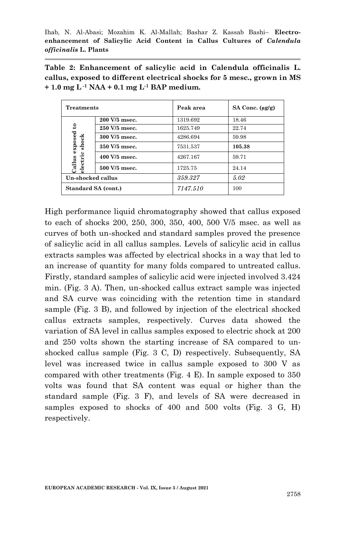|  |  | Table 2: Enhancement of salicylic acid in Calendula officinalis L.      |  |  |  |  |
|--|--|-------------------------------------------------------------------------|--|--|--|--|
|  |  | callus, exposed to different electrical shocks for 5 mesc., grown in MS |  |  |  |  |
|  |  | $+1.0$ mg L <sup>-1</sup> NAA + 0.1 mg L <sup>-1</sup> BAP medium.      |  |  |  |  |

| <b>Treatments</b>                                    |                 | Peak area | SA Conc. $(\mu g/g)$ |  |
|------------------------------------------------------|-----------------|-----------|----------------------|--|
|                                                      | 200 V/5 msec.   | 1319.692  | 18.46                |  |
| exposed to<br>shock<br>٥<br>Callus<br><b>Blectri</b> | $250 V/5$ msec. | 1625.749  | 22.74                |  |
|                                                      | 300 V/5 msec.   | 4286.694  | 59.98                |  |
|                                                      | 350 V/5 msec.   | 7531.537  | 105.38               |  |
|                                                      | 400 V/5 msec.   | 4267.167  | 59.71                |  |
|                                                      | 500 V/5 msec.   | 1725.75   | 24.14                |  |
| Un-shocked callus                                    |                 | 359.327   | 5.02                 |  |
| Standard SA (cont.)                                  |                 | 7147.510  | 100                  |  |

High performance liquid chromatography showed that callus exposed to each of shocks 200, 250, 300, 350, 400, 500 V/5 msec. as well as curves of both un-shocked and standard samples proved the presence of salicylic acid in all callus samples. Levels of salicylic acid in callus extracts samples was affected by electrical shocks in a way that led to an increase of quantity for many folds compared to untreated callus. Firstly, standard samples of salicylic acid were injected involved 3.424 min. (Fig. 3 A). Then, un-shocked callus extract sample was injected and SA curve was coinciding with the retention time in standard sample (Fig. 3 B), and followed by injection of the electrical shocked callus extracts samples, respectively. Curves data showed the variation of SA level in callus samples exposed to electric shock at 200 and 250 volts shown the starting increase of SA compared to unshocked callus sample (Fig. 3 C, D) respectively. Subsequently, SA level was increased twice in callus sample exposed to 300 V as compared with other treatments (Fig. 4 E). In sample exposed to 350 volts was found that SA content was equal or higher than the standard sample (Fig. 3 F), and levels of SA were decreased in samples exposed to shocks of 400 and 500 volts (Fig. 3 G, H) respectively.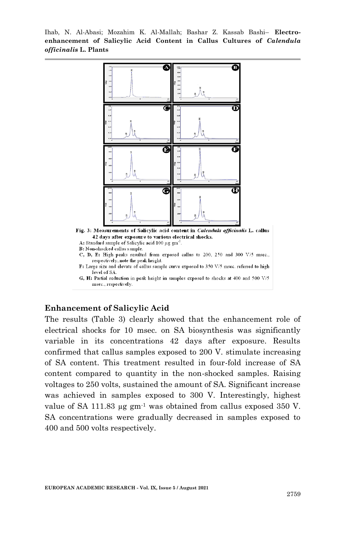

#### **Enhancement of Salicylic Acid**

The results (Table 3) clearly showed that the enhancement role of electrical shocks for 10 msec. on SA biosynthesis was significantly variable in its concentrations 42 days after exposure. Results confirmed that callus samples exposed to 200 V. stimulate increasing of SA content. This treatment resulted in four-fold increase of SA content compared to quantity in the non-shocked samples. Raising voltages to 250 volts, sustained the amount of SA. Significant increase was achieved in samples exposed to 300 V. Interestingly, highest value of SA 111.83  $\mu$ g gm<sup>-1</sup> was obtained from callus exposed 350 V. SA concentrations were gradually decreased in samples exposed to 400 and 500 volts respectively.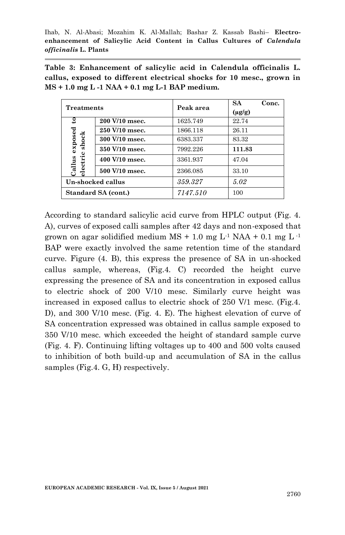| Table 3: Enhancement of salicylic acid in Calendula officinalis L.    |  |  |  |  |  |
|-----------------------------------------------------------------------|--|--|--|--|--|
| callus, exposed to different electrical shocks for 10 mesc., grown in |  |  |  |  |  |
| MS + 1.0 mg L -1 NAA + 0.1 mg L-1 BAP medium.                         |  |  |  |  |  |

| <b>Treatments</b>                     |                | Peak area | <b>SA</b>   | Conc. |
|---------------------------------------|----------------|-----------|-------------|-------|
|                                       |                |           | $(\mu g/g)$ |       |
| $\mathbf{e}$                          | 200 V/10 msec. | 1625.749  | 22.74       |       |
|                                       | 250 V/10 msec. | 1866.118  | 26.11       |       |
| exposed<br>shock<br>electri<br>Callus | 300 V/10 msec. | 6383.337  | 83.32       |       |
|                                       | 350 V/10 msec. | 7992.226  | 111.83      |       |
|                                       | 400 V/10 msec. | 3361.937  | 47.04       |       |
|                                       | 500 V/10 msec. | 2366.085  | 33.10       |       |
| Un-shocked callus                     |                | 359.327   | 5.02        |       |
| Standard SA (cont.)                   |                | 7147.510  | 100         |       |

According to standard salicylic acid curve from HPLC output (Fig. 4. A), curves of exposed calli samples after 42 days and non-exposed that grown on agar solidified medium  $MS + 1.0$  mg  $L<sup>-1</sup> NAA + 0.1$  mg  $L<sup>-1</sup>$ BAP were exactly involved the same retention time of the standard curve. Figure (4. B), this express the presence of SA in un-shocked callus sample, whereas, (Fig.4. C) recorded the height curve expressing the presence of SA and its concentration in exposed callus to electric shock of 200 V/10 mesc. Similarly curve height was increased in exposed callus to electric shock of 250 V/1 mesc. (Fig.4. D), and 300 V/10 mesc. (Fig. 4. E). The highest elevation of curve of SA concentration expressed was obtained in callus sample exposed to 350 V/10 mesc. which exceeded the height of standard sample curve (Fig. 4. F). Continuing lifting voltages up to 400 and 500 volts caused to inhibition of both build-up and accumulation of SA in the callus samples (Fig.4. G, H) respectively.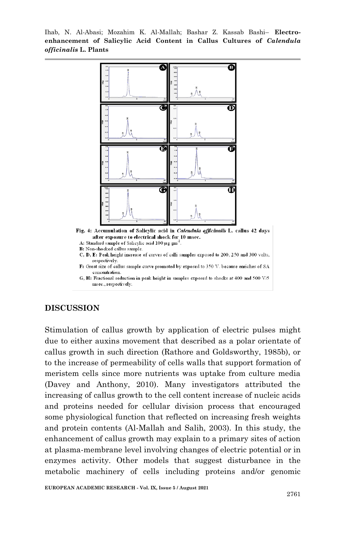

F: Great size of callus sample curve promoted by exposed to 350 V. because enriches of SA concentration.

G, H: Fractional reduction in peak height in samples exposed to shocks at 400 and 500 V/5 msec., respectively.

#### **DISCUSSION**

Stimulation of callus growth by application of electric pulses might due to either auxins movement that described as a polar orientate of callus growth in such direction (Rathore and Goldsworthy, 1985b), or to the increase of permeability of cells walls that support formation of meristem cells since more nutrients was uptake from culture media (Davey and Anthony, 2010). Many investigators attributed the increasing of callus growth to the cell content increase of nucleic acids and proteins needed for cellular division process that encouraged some physiological function that reflected on increasing fresh weights and protein contents (Al-Mallah and Salih, 2003). In this study, the enhancement of callus growth may explain to a primary sites of action at plasma-membrane level involving changes of electric potential or in enzymes activity. Other models that suggest disturbance in the metabolic machinery of cells including proteins and/or genomic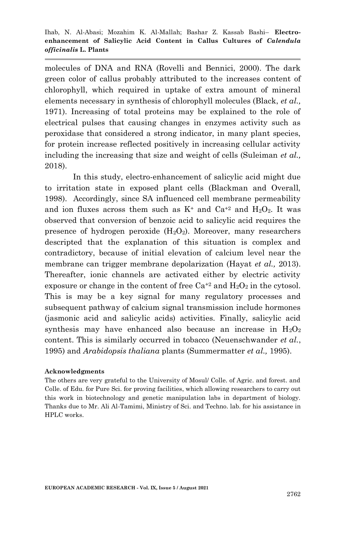molecules of DNA and RNA (Rovelli and Bennici, 2000). The dark green color of callus probably attributed to the increases content of chlorophyll, which required in uptake of extra amount of mineral elements necessary in synthesis of chlorophyll molecules (Black, *et al.,* 1971). Increasing of total proteins may be explained to the role of electrical pulses that causing changes in enzymes activity such as peroxidase that considered a strong indicator, in many plant species, for protein increase reflected positively in increasing cellular activity including the increasing that size and weight of cells (Suleiman *et al.,* 2018).

In this study, electro-enhancement of salicylic acid might due to irritation state in exposed plant cells (Blackman and Overall, 1998). Accordingly, since SA influenced cell membrane permeability and ion fluxes across them such as  $K^+$  and  $Ca^{+2}$  and  $H_2O_2$ . It was observed that conversion of benzoic acid to salicylic acid requires the presence of hydrogen peroxide  $(H_2O_2)$ . Moreover, many researchers descripted that the explanation of this situation is complex and contradictory, because of initial elevation of calcium level near the membrane can trigger membrane depolarization (Hayat *et al.,* 2013). Thereafter, ionic channels are activated either by electric activity exposure or change in the content of free  $Ca^{+2}$  and  $H_2O_2$  in the cytosol. This is may be a key signal for many regulatory processes and subsequent pathway of calcium signal transmission include hormones (jasmonic acid and salicylic acids) activities. Finally, salicylic acid synthesis may have enhanced also because an increase in  $H_2O_2$ content. This is similarly occurred in tobacco (Neuenschwander *et al.*, 1995) and *Arabidopsis thaliana* plants (Summermatter *et al.,* 1995).

#### **Acknowledgments**

The others are very grateful to the University of Mosul/ Colle. of Agric. and forest. and Colle. of Edu. for Pure Sci. for proving facilities, which allowing researchers to carry out this work in biotechnology and genetic manipulation labs in department of biology. Thanks due to Mr. Ali Al-Tamimi, Ministry of Sci. and Techno. lab. for his assistance in HPLC works.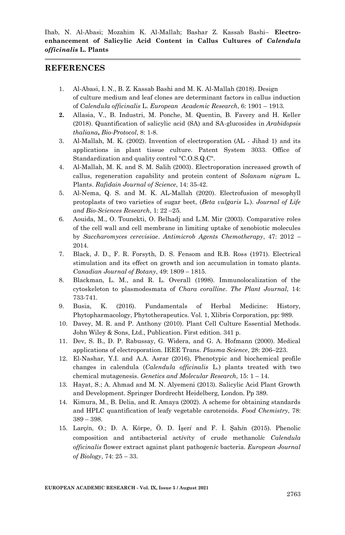#### **REFERENCES**

- 1. Al-Abasi, I. N., B. Z. Kassab Bashi and M. K. Al-Mallah (2018). Design of culture medium and leaf clones are determinant factors in callus induction of *Calendula officinalis* L. *European Academic Research*, 6: 1901 – 1913.
- **2.** Allasia, V., B. Industri, M. Ponche, M. Quentin, B. Favery and H. Keller (2018). Quantification of salicylic acid (SA) and SA-glucosides in *Arabidopsis thaliana***,** *Bio-Protocol*, 8: 1-8.
- 3. Al-Mallah, M. K. (2002). Invention of electroporation (AL Jihad 1) and its applications in plant tissue culture. Patent System 3033. Office of Standardization and quality control "C.O.S.Q.C".
- 4. Al-Mallah, M. K. and S. M. Salih (2003). Electroporation increased growth of callus, regeneration capability and protein content of *Solanum nigrum* L. Plants. *Rafidain Journal of Science*, 14: 35-42.
- 5. Al-Nema, Q. S. and M. K. AL-Mallah (2020). Electrofusion of mesophyll protoplasts of two varieties of sugar beet, (*Beta vulgaris* L.). *Journal of Life and Bio-Sciences Research*, 1: 22 –25.
- 6. Aouida, M., O. Tounekti, O. Belhadj and L.M. Mir (2003). Comparative roles of the cell wall and cell membrane in limiting uptake of xenobiotic molecules by *Saccharomyces cerevisiae*. *Antimicrob Agents Chemotherapy*, 47: 2012 – 2014.
- 7. Black, J. D., F. R. Forsyth, D. S. Fensom and R.B. Ross (1971). Electrical stimulation and its effect on growth and ion accumulation in tomato plants. *Canadian Journal of Botany*, 49: 1809 – 1815.
- 8. Blackman, L. M., and R. L. Overall (1998). Immunolocalization of the cytoskeleton to plasmodesmata of *Chara coralline*. *The Plant Journal*, 14: 733-741.
- 9. Busia, K. (2016). Fundamentals of Herbal Medicine: History, Phytopharmacology, Phytotherapeutics. Vol. 1, Xlibris Corporation, pp: 989.
- 10. Davey, M. R. and P. Anthony (2010). Plant Cell Culture Essential Methods. John Wiley & Sons, Ltd., Publication. First edition. 341 p.
- 11. Dev, S. B., D. P. Rabussay, G. Widera, and G. A. Hofmann (2000). Medical applications of electroporation. IEEE Trans*. Plasma Science*, 28: 206–223.
- 12. El-Nashar, Y.I. and A.A. Asrar (2016), Phenotypic and biochemical profile changes in calendula (*Calendula officinalis* L.) plants treated with two chemical mutagenesis. *Genetics and Molecular Research*, 15: 1 – 14.
- 13. Hayat, S.; A. Ahmad and M. N. Alyemeni (2013). Salicylic Acid Plant Growth and Development. Springer Dordrecht Heidelberg, London. Pp 389.
- 14. Kimura, M., B. Delia, and R. Amaya (2002). A scheme for obtaining standards and HPLC quantification of leafy vegetable carotenoids. *Food Chemistry*, 78: 389 – 398.
- 15. Larç*i*n, O.; D. A. Körpe, Ö. D. İşer*i* and F. İ. Şah*i*n (2015). Phenolic composition and antibacterial act*i*v*i*ty of crude methanol*i*c *Calendula officinalis* flower extract against plant pathogen*i*c bacteria. *European Journal of Biology*, 74: 25 – 33.